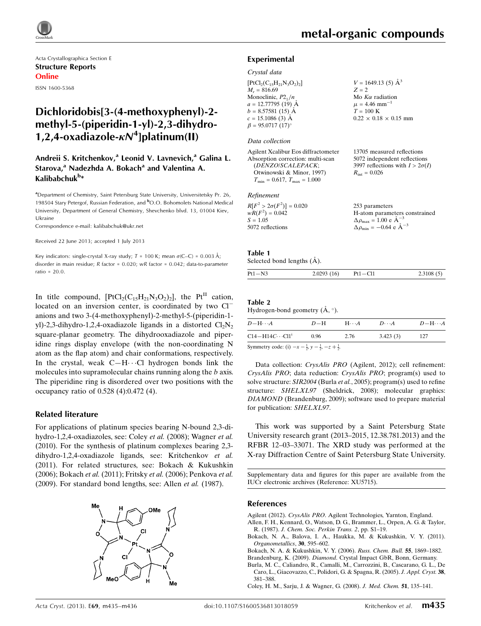

Acta Crystallographica Section E Structure Reports Online ISSN 1600-5368

## Dichloridobis[3-(4-methoxyphenyl)-2 methyl-5-(piperidin-1-yl)-2,3-dihydro-1,2,4-oxadiazole- $\kappa N^4$ ]platinum(II)

### Andreii S. Kritchenkov,<sup>a</sup> Leonid V. Lavnevich,<sup>a</sup> Galina L. Starova,<sup>a</sup> Nadezhda A. Bokach<sup>a</sup> and Valentina A. Kalibabchuk<sup>b</sup>\*

<sup>a</sup>Department of Chemistry, Saint Petersburg State University, Universitetsky Pr. 26, 198504 Stary Petergof, Russian Federation, and <sup>b</sup>O.O. Bohomolets National Medical University, Department of General Chemistry, Shevchenko blvd. 13, 01004 Kiev, Ukraine

Correspondence e-mail: [kalibabchuk@ukr.net](https://scripts.iucr.org/cgi-bin/cr.cgi?rm=pdfbb&cnor=xu5715&bbid=BB13)

#### Received 22 June 2013; accepted 1 July 2013

Key indicators: single-crystal X-ray study;  $T = 100$  K; mean  $\sigma$ (C–C) = 0.003 Å; disorder in main residue; R factor = 0.020; wR factor = 0.042; data-to-parameter ratio =  $20.0$ .

In title compound,  $[PtCl_2(C_{15}H_{21}N_3O_2)_2]$ , the Pt<sup>II</sup> cation, located on an inversion center, is coordinated by two Cl<sup>-</sup> anions and two 3-(4-methoxyphenyl)-2-methyl-5-(piperidin-1 yl)-2,3-dihydro-1,2,4-oxadiazole ligands in a distorted  $Cl_2N_2$ square-planar geometry. The dihydrooxadiazole and piperidine rings display envelope (with the non-coordinating N atom as the flap atom) and chair conformations, respectively. In the crystal, weak  $C-H\cdots C1$  hydrogen bonds link the molecules into supramolecular chains running along the *b* axis. The piperidine ring is disordered over two positions with the occupancy ratio of 0.528 (4):0.472 (4).

### Related literature

For applications of platinum species bearing N-bound 2,3-dihydro-1,2,4-oxadiazoles, see: Coley et al. (2008); Wagner et al. (2010). For the synthesis of platinum complexes bearing 2,3 dihydro-1,2,4-oxadiazole ligands, see: Kritchenkov et al. (2011). For related structures, see: Bokach & Kukushkin (2006); Bokach et al. (2011); Fritsky et al. (2006); Penkova et al. (2009). For standard bond lengths, see: Allen et al. (1987).



13705 measured reflections 5072 independent reflections 3997 reflections with  $I > 2\sigma(I)$ 

 $R_{\text{int}} = 0.026$ 

### Experimental

### Crystal data

| $[PtCl2(C15H21N3O2)2]$  | $V = 1649.13$ (5) $\AA^3$         |
|-------------------------|-----------------------------------|
| $M_r = 816.69$          | $Z = 2$                           |
| Monoclinic, $P2_1/n$    | Mo $K\alpha$ radiation            |
| $a = 12.77795$ (19) Å   | $\mu = 4.46$ mm <sup>-1</sup>     |
| $b = 8.57581(15)$ Å     | $T = 100 \text{ K}$               |
| $c = 15.1086$ (3) Å     | $0.22 \times 0.18 \times 0.15$ mm |
| $\beta = 95.0717(17)$ ° |                                   |
|                         |                                   |
| Data collection         |                                   |

| Agilent Xcalibur Eos diffractometer  |
|--------------------------------------|
| Absorption correction: multi-scan    |
| (DENZO/SCALEPACK;                    |
| Otwinowski & Minor, 1997)            |
| $T_{\min} = 0.617, T_{\max} = 1.000$ |

### Refinement

| $R[F^2 > 2\sigma(F^2)] = 0.020$ | 253 parameters                                     |
|---------------------------------|----------------------------------------------------|
| $wR(F^2) = 0.042$               | H-atom parameters constrained                      |
| $S = 1.05$                      | $\Delta \rho_{\text{max}} = 1.00 \text{ e A}^{-3}$ |
| 5072 reflections                | $\Delta \rho_{\text{min}} = -0.64$ e $\AA^{-3}$    |

### Table 1

### Selected bond lengths  $(\AA)$ .

|  | $Pt1 - N3$ | 2.0293(16) | Pt1-Cl1 | 2.3108(5) |
|--|------------|------------|---------|-----------|
|--|------------|------------|---------|-----------|

### Table 2

| Hydrogen-bond geometry $(A, \circ)$ . |  |  |
|---------------------------------------|--|--|
|                                       |  |  |

| $D - H \cdots A$                                                      | $D-H$  | $H\cdots A$ | $D\cdots A$ | $D - H \cdots A$ |
|-----------------------------------------------------------------------|--------|-------------|-------------|------------------|
| $C14 - H14C \cdots C11$ <sup>i</sup>                                  | - 0.96 | 2.76        | 3.423(3)    | 127              |
| Symmetry code: (i) $-x = \frac{1}{2}$ $y = \frac{1}{2} - \frac{1}{2}$ |        |             |             |                  |

Symmetry code: (i)  $-x - \frac{1}{2}$ ,  $y - \frac{1}{2}$ ,  $-z + \frac{1}{2}$ .

Data collection: CrysAlis PRO (Agilent, 2012); cell refinement: CrysAlis PRO; data reduction: CrysAlis PRO; program(s) used to solve structure: SIR2004 (Burla et al., 2005); program(s) used to refine structure: SHELXL97 (Sheldrick, 2008); molecular graphics: DIAMOND (Brandenburg, 2009); software used to prepare material for publication: SHELXL97.

This work was supported by a Saint Petersburg State University research grant (2013–2015, 12.38.781.2013) and the RFBR 12–03–33071. The XRD study was performed at the X-ray Diffraction Centre of Saint Petersburg State University.

Supplementary data and figures for this paper are available from the IUCr electronic archives (Reference: XU5715).

### References

Agilent (2012). CrysAlis PRO[. Agilent Technologies, Yarnton, England.](https://scripts.iucr.org/cgi-bin/cr.cgi?rm=pdfbb&cnor=xu5715&bbid=BB1)

- [Allen, F. H., Kennard, O., Watson, D. G., Brammer, L., Orpen, A. G. & Taylor,](https://scripts.iucr.org/cgi-bin/cr.cgi?rm=pdfbb&cnor=xu5715&bbid=BB2) R. (1987). [J. Chem. Soc. Perkin Trans. 2](https://scripts.iucr.org/cgi-bin/cr.cgi?rm=pdfbb&cnor=xu5715&bbid=BB2), pp. S1–19.
- [Bokach, N. A., Balova, I. A., Haukka, M. & Kukushkin, V. Y. \(2011\).](https://scripts.iucr.org/cgi-bin/cr.cgi?rm=pdfbb&cnor=xu5715&bbid=BB3) [Organometallics](https://scripts.iucr.org/cgi-bin/cr.cgi?rm=pdfbb&cnor=xu5715&bbid=BB3), 30, 595–602.

[Bokach, N. A. & Kukushkin, V. Y. \(2006\).](https://scripts.iucr.org/cgi-bin/cr.cgi?rm=pdfbb&cnor=xu5715&bbid=BB4) Russ. Chem. Bull. 55, 1869–1882.

Brandenburg, K. (2009). Diamond[. Crystal Impact GbR, Bonn, Germany.](https://scripts.iucr.org/cgi-bin/cr.cgi?rm=pdfbb&cnor=xu5715&bbid=BB5)

[Burla, M. C., Caliandro, R., Camalli, M., Carrozzini, B., Cascarano, G. L., De](https://scripts.iucr.org/cgi-bin/cr.cgi?rm=pdfbb&cnor=xu5715&bbid=BB6) [Caro, L., Giacovazzo, C., Polidori, G. & Spagna, R. \(2005\).](https://scripts.iucr.org/cgi-bin/cr.cgi?rm=pdfbb&cnor=xu5715&bbid=BB6) J. Appl. Cryst. 38, [381–388.](https://scripts.iucr.org/cgi-bin/cr.cgi?rm=pdfbb&cnor=xu5715&bbid=BB6)

[Coley, H. M., Sarju, J. & Wagner, G. \(2008\).](https://scripts.iucr.org/cgi-bin/cr.cgi?rm=pdfbb&cnor=xu5715&bbid=BB7) J. Med. Chem. 51, 135–141.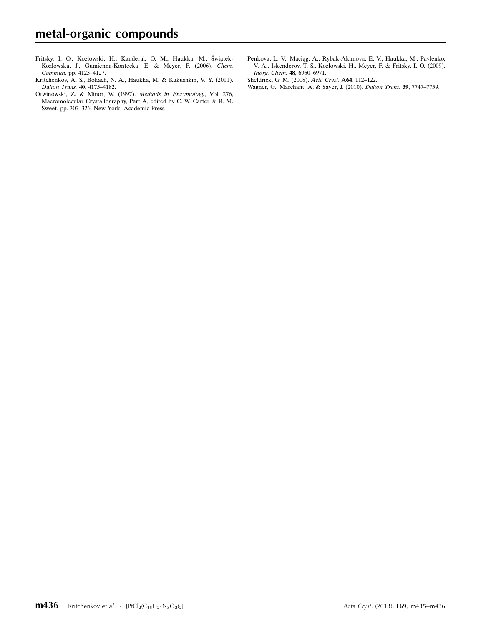- Fritsky, I. O., Kozłowski, H., Kanderal, O. M., Haukka, M., Świątek-[Kozłowska, J., Gumienna-Kontecka, E. & Meyer, F. \(2006\).](https://scripts.iucr.org/cgi-bin/cr.cgi?rm=pdfbb&cnor=xu5715&bbid=BB8) Chem. Commun. [pp. 4125–4127.](https://scripts.iucr.org/cgi-bin/cr.cgi?rm=pdfbb&cnor=xu5715&bbid=BB8)
- [Kritchenkov, A. S., Bokach, N. A., Haukka, M. & Kukushkin, V. Y. \(2011\).](https://scripts.iucr.org/cgi-bin/cr.cgi?rm=pdfbb&cnor=xu5715&bbid=BB9) [Dalton Trans.](https://scripts.iucr.org/cgi-bin/cr.cgi?rm=pdfbb&cnor=xu5715&bbid=BB9) 40, 4175–4182.
- [Otwinowski, Z. & Minor, W. \(1997\).](https://scripts.iucr.org/cgi-bin/cr.cgi?rm=pdfbb&cnor=xu5715&bbid=BB10) Methods in Enzymology, Vol. 276, [Macromolecular Crystallography, Part A, edited by C. W. Carter & R. M.](https://scripts.iucr.org/cgi-bin/cr.cgi?rm=pdfbb&cnor=xu5715&bbid=BB10) [Sweet, pp. 307–326. New York: Academic Press.](https://scripts.iucr.org/cgi-bin/cr.cgi?rm=pdfbb&cnor=xu5715&bbid=BB10)
- [Penkova, L. V., Macia˛g, A., Rybak-Akimova, E. V., Haukka, M., Pavlenko,](https://scripts.iucr.org/cgi-bin/cr.cgi?rm=pdfbb&cnor=xu5715&bbid=BB11) [V. A., Iskenderov, T. S., Kozłowski, H., Meyer, F. & Fritsky, I. O. \(2009\).](https://scripts.iucr.org/cgi-bin/cr.cgi?rm=pdfbb&cnor=xu5715&bbid=BB11) [Inorg. Chem.](https://scripts.iucr.org/cgi-bin/cr.cgi?rm=pdfbb&cnor=xu5715&bbid=BB11) 48, 6960–6971.
- [Sheldrick, G. M. \(2008\).](https://scripts.iucr.org/cgi-bin/cr.cgi?rm=pdfbb&cnor=xu5715&bbid=BB12) Acta Cryst. A64, 112–122.
- [Wagner, G., Marchant, A. & Sayer, J. \(2010\).](https://scripts.iucr.org/cgi-bin/cr.cgi?rm=pdfbb&cnor=xu5715&bbid=BB13) Dalton Trans. 39, 7747–7759.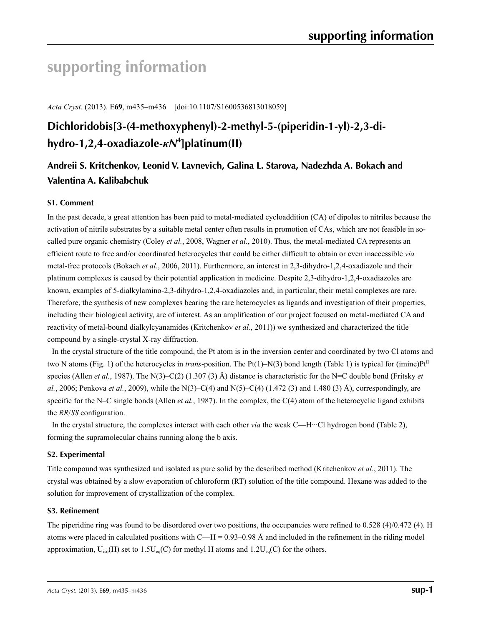# **supporting information**

*Acta Cryst.* (2013). E**69**, m435–m436 [doi:10.1107/S1600536813018059]

# **Dichloridobis[3-(4-methoxyphenyl)-2-methyl-5-(piperidin-1-yl)-2,3-dihydro-1,2,4-oxadiazole-***κN***<sup>4</sup> ]platinum(II)**

# **Andreii S. Kritchenkov, Leonid V. Lavnevich, Galina L. Starova, Nadezhda A. Bokach and Valentina A. Kalibabchuk**

### **S1. Comment**

In the past decade, a great attention has been paid to metal-mediated cycloaddition (CA) of dipoles to nitriles because the activation of nitrile substrates by a suitable metal center often results in promotion of CAs, which are not feasible in socalled pure organic chemistry (Coley *et al.*, 2008, Wagner *et al.*, 2010). Thus, the metal-mediated CA represents an efficient route to free and/or coordinated heterocycles that could be either difficult to obtain or even inaccessible *via* metal-free protocols (Bokach *et al.*, 2006, 2011). Furthermore, an interest in 2,3-dihydro-1,2,4-oxadiazole and their platinum complexes is caused by their potential application in medicine. Despite 2,3-dihydro-1,2,4-oxadiazoles are known, examples of 5-dialkylamino-2,3-dihydro-1,2,4-oxadiazoles and, in particular, their metal complexes are rare. Therefore, the synthesis of new complexes bearing the rare heterocycles as ligands and investigation of their properties, including their biological activity, are of interest. As an amplification of our project focused on metal-mediated CA and reactivity of metal-bound dialkylcyanamides (Kritchenkov *et al.*, 2011)) we synthesized and characterized the title compound by a single-crystal X-ray diffraction.

In the crystal structure of the title compound, the Pt atom is in the inversion center and coordinated by two Cl atoms and two N atoms (Fig. 1) of the heterocycles in *trans*-position. The Pt(1)–N(3) bond length (Table 1) is typical for (imine)Pt<sup>II</sup> species (Allen *et al.*, 1987). The N(3)–C(2) (1.307 (3) Å) distance is characteristic for the N=C double bond (Fritsky *et al.*, 2006; Penkova *et al.*, 2009), while the N(3)–C(4) and N(5)–C(4) (1.472 (3) and 1.480 (3) Å), correspondingly, are specific for the N–C single bonds (Allen *et al.*, 1987). In the complex, the C(4) atom of the heterocyclic ligand exhibits the *RR*/*SS* configuration.

In the crystal structure, the complexes interact with each other *via* the weak C—H···Cl hydrogen bond (Table 2), forming the supramolecular chains running along the b axis.

### **S2. Experimental**

Title compound was synthesized and isolated as pure solid by the described method (Kritchenkov *et al.*, 2011). The crystal was obtained by a slow evaporation of chloroform (RT) solution of the title compound. Hexane was added to the solution for improvement of crystallization of the complex.

### **S3. Refinement**

The piperidine ring was found to be disordered over two positions, the occupancies were refined to 0.528 (4)/0.472 (4). H atoms were placed in calculated positions with  $C-H = 0.93-0.98$  Å and included in the refinement in the riding model approximation,  $U_{iso}(H)$  set to 1.5U<sub>eq</sub>(C) for methyl H atoms and 1.2U<sub>eq</sub>(C) for the others.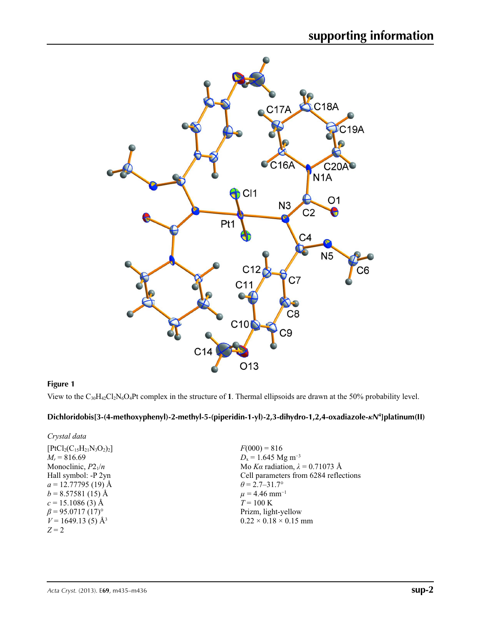

### **Figure 1**

View to the C30H42Cl2N6O4Pt complex in the structure of **1**. Thermal ellipsoids are drawn at the 50% probability level.

### **Dichloridobis[3-(4-methoxyphenyl)-2-methyl-5-(piperidin-1-yl)-2,3-dihydro-1,2,4-oxadiazole-***κN***<sup>4</sup> ]platinum(II)**

| $F(000) = 816$                         |
|----------------------------------------|
| $D_x = 1.645$ Mg m <sup>-3</sup>       |
| Mo Ka radiation, $\lambda = 0.71073$ Å |
| Cell parameters from 6284 reflections  |
| $\theta = 2.7 - 31.7^{\circ}$          |
| $\mu$ = 4.46 mm <sup>-1</sup>          |
| $T = 100 \text{ K}$                    |
| Prizm, light-yellow                    |
| $0.22 \times 0.18 \times 0.15$ mm      |
|                                        |
|                                        |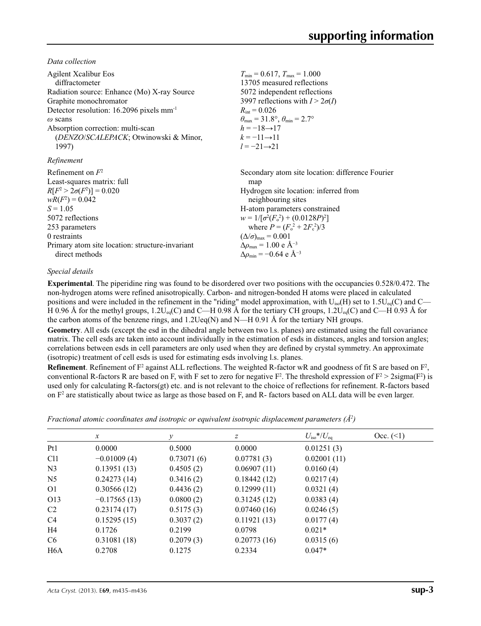*Data collection*

| <b>Agilent Xcalibur Eos</b><br>diffractometer<br>Radiation source: Enhance (Mo) X-ray Source<br>Graphite monochromator<br>Detector resolution: 16.2096 pixels mm <sup>-1</sup><br>$\omega$ scans<br>Absorption correction: multi-scan<br>(DENZO/SCALEPACK; Otwinowski & Minor,<br>1997)<br>Refinement | $T_{\min} = 0.617$ , $T_{\max} = 1.000$<br>13705 measured reflections<br>5072 independent reflections<br>3997 reflections with $I > 2\sigma(I)$<br>$R_{\rm int} = 0.026$<br>$\theta_{\text{max}} = 31.8^{\circ}, \theta_{\text{min}} = 2.7^{\circ}$<br>$h = -18 \rightarrow 17$<br>$k = -11 \rightarrow 11$<br>$l = -21 \rightarrow 21$ |
|-------------------------------------------------------------------------------------------------------------------------------------------------------------------------------------------------------------------------------------------------------------------------------------------------------|-----------------------------------------------------------------------------------------------------------------------------------------------------------------------------------------------------------------------------------------------------------------------------------------------------------------------------------------|
| Refinement on $F^2$                                                                                                                                                                                                                                                                                   | Secondary atom site location: difference Fourier                                                                                                                                                                                                                                                                                        |
| Least-squares matrix: full                                                                                                                                                                                                                                                                            | map                                                                                                                                                                                                                                                                                                                                     |
| $R[F^2 > 2\sigma(F^2)] = 0.020$                                                                                                                                                                                                                                                                       | Hydrogen site location: inferred from                                                                                                                                                                                                                                                                                                   |
| $wR(F^2) = 0.042$                                                                                                                                                                                                                                                                                     | neighbouring sites                                                                                                                                                                                                                                                                                                                      |
| $S = 1.05$                                                                                                                                                                                                                                                                                            | H-atom parameters constrained                                                                                                                                                                                                                                                                                                           |
| 5072 reflections                                                                                                                                                                                                                                                                                      | $w = 1/[\sigma^2(F_0^2) + (0.0128P)^2]$                                                                                                                                                                                                                                                                                                 |
| 253 parameters                                                                                                                                                                                                                                                                                        | where $P = (F_0^2 + 2F_c^2)/3$                                                                                                                                                                                                                                                                                                          |
| 0 restraints                                                                                                                                                                                                                                                                                          | $(\Delta/\sigma)_{\text{max}} = 0.001$                                                                                                                                                                                                                                                                                                  |
| Primary atom site location: structure-invariant                                                                                                                                                                                                                                                       | $\Delta\rho_{\text{max}} = 1.00 \text{ e A}^{-3}$                                                                                                                                                                                                                                                                                       |
| direct methods                                                                                                                                                                                                                                                                                        | $\Delta\rho_{\rm min}$ = -0.64 e Å <sup>-3</sup>                                                                                                                                                                                                                                                                                        |

### *Special details*

**Experimental**. The piperidine ring was found to be disordered over two positions with the occupancies 0.528/0.472. The non-hydrogen atoms were refined anisotropically. Carbon- and nitrogen-bonded H atoms were placed in calculated positions and were included in the refinement in the "riding" model approximation, with  $U_{iso}(H)$  set to 1.5U<sub>eq</sub>(C) and C— H 0.96 Å for the methyl groups, 1.2U<sub>eq</sub>(C) and C—H 0.98 Å for the tertiary CH groups, 1.2U<sub>eq</sub>(C) and C—H 0.93 Å for the carbon atoms of the benzene rings, and 1.2Ueq(N) and N—H 0.91 Å for the tertiary NH groups.

**Geometry**. All esds (except the esd in the dihedral angle between two l.s. planes) are estimated using the full covariance matrix. The cell esds are taken into account individually in the estimation of esds in distances, angles and torsion angles; correlations between esds in cell parameters are only used when they are defined by crystal symmetry. An approximate (isotropic) treatment of cell esds is used for estimating esds involving l.s. planes.

**Refinement**. Refinement of  $F^2$  against ALL reflections. The weighted R-factor wR and goodness of fit S are based on  $F^2$ , conventional R-factors R are based on F, with F set to zero for negative  $F^2$ . The threshold expression of  $F^2 > 2 \text{sigma}(F^2)$  is used only for calculating R-factors(gt) etc. and is not relevant to the choice of reflections for refinement. R-factors based on  $F<sup>2</sup>$  are statistically about twice as large as those based on F, and R- factors based on ALL data will be even larger.

*Fractional atomic coordinates and isotropic or equivalent isotropic displacement parameters (Å<sup>2</sup>)* 

|                  | $\mathcal{X}$  | ν          | z           | $U_{\rm iso}$ */ $U_{\rm eq}$ | Occ. (2) |
|------------------|----------------|------------|-------------|-------------------------------|----------|
| P <sub>t1</sub>  | 0.0000         | 0.5000     | 0.0000      | 0.01251(3)                    |          |
| Cl <sub>1</sub>  | $-0.01009(4)$  | 0.73071(6) | 0.07781(3)  | 0.02001(11)                   |          |
| N <sub>3</sub>   | 0.13951(13)    | 0.4505(2)  | 0.06907(11) | 0.0160(4)                     |          |
| N <sub>5</sub>   | 0.24273(14)    | 0.3416(2)  | 0.18442(12) | 0.0217(4)                     |          |
| O <sub>1</sub>   | 0.30566(12)    | 0.4436(2)  | 0.12999(11) | 0.0321(4)                     |          |
| O13              | $-0.17565(13)$ | 0.0800(2)  | 0.31245(12) | 0.0383(4)                     |          |
| C2               | 0.23174(17)    | 0.5175(3)  | 0.07460(16) | 0.0246(5)                     |          |
| C <sub>4</sub>   | 0.15295(15)    | 0.3037(2)  | 0.11921(13) | 0.0177(4)                     |          |
| H4               | 0.1726         | 0.2199     | 0.0798      | $0.021*$                      |          |
| C <sub>6</sub>   | 0.31081(18)    | 0.2079(3)  | 0.20773(16) | 0.0315(6)                     |          |
| H <sub>6</sub> A | 0.2708         | 0.1275     | 0.2334      | $0.047*$                      |          |
|                  |                |            |             |                               |          |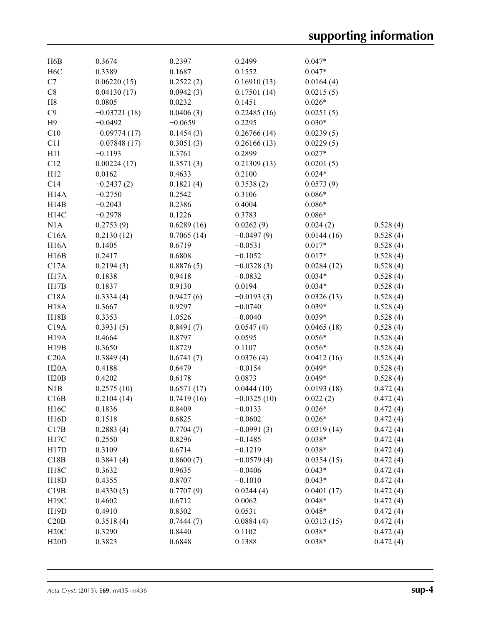| H6B               | 0.3674         | 0.2397     | 0.2499        | $0.047*$   |          |
|-------------------|----------------|------------|---------------|------------|----------|
| H <sub>6</sub> C  | 0.3389         | 0.1687     | 0.1552        | $0.047*$   |          |
| C7                | 0.06220(15)    | 0.2522(2)  | 0.16910(13)   | 0.0164(4)  |          |
| C8                | 0.04130(17)    | 0.0942(3)  | 0.17501(14)   | 0.0215(5)  |          |
| H8                | 0.0805         | 0.0232     | 0.1451        | $0.026*$   |          |
| C9                | $-0.03721(18)$ | 0.0406(3)  | 0.22485(16)   | 0.0251(5)  |          |
| H <sub>9</sub>    | $-0.0492$      | $-0.0659$  | 0.2295        | $0.030*$   |          |
| C10               | $-0.09774(17)$ | 0.1454(3)  | 0.26766(14)   | 0.0239(5)  |          |
| C11               | $-0.07848(17)$ | 0.3051(3)  | 0.26166(13)   | 0.0229(5)  |          |
| H11               | $-0.1193$      | 0.3761     | 0.2899        | $0.027*$   |          |
| C12               | 0.00224(17)    | 0.3571(3)  | 0.21309(13)   | 0.0201(5)  |          |
| H12               | 0.0162         | 0.4633     | 0.2100        | $0.024*$   |          |
| C14               |                |            |               |            |          |
|                   | $-0.2437(2)$   | 0.1821(4)  | 0.3538(2)     | 0.0573(9)  |          |
| H14A              | $-0.2750$      | 0.2542     | 0.3106        | $0.086*$   |          |
| H14B              | $-0.2043$      | 0.2386     | 0.4004        | $0.086*$   |          |
| H14C              | $-0.2978$      | 0.1226     | 0.3783        | $0.086*$   |          |
| N1A               | 0.2753(9)      | 0.6289(16) | 0.0262(9)     | 0.024(2)   | 0.528(4) |
| C16A              | 0.2130(12)     | 0.7065(14) | $-0.0497(9)$  | 0.0144(16) | 0.528(4) |
| <b>H16A</b>       | 0.1405         | 0.6719     | $-0.0531$     | $0.017*$   | 0.528(4) |
| H16B              | 0.2417         | 0.6808     | $-0.1052$     | $0.017*$   | 0.528(4) |
| C17A              | 0.2194(3)      | 0.8876(5)  | $-0.0328(3)$  | 0.0284(12) | 0.528(4) |
| H17A              | 0.1838         | 0.9418     | $-0.0832$     | $0.034*$   | 0.528(4) |
| H17B              | 0.1837         | 0.9130     | 0.0194        | $0.034*$   | 0.528(4) |
| C18A              | 0.3334(4)      | 0.9427(6)  | $-0.0193(3)$  | 0.0326(13) | 0.528(4) |
| <b>H18A</b>       | 0.3667         | 0.9297     | $-0.0740$     | $0.039*$   | 0.528(4) |
| H18B              | 0.3353         | 1.0526     | $-0.0040$     | $0.039*$   | 0.528(4) |
| C19A              | 0.3931(5)      | 0.8491(7)  | 0.0547(4)     | 0.0465(18) | 0.528(4) |
| <b>H19A</b>       | 0.4664         | 0.8797     | 0.0595        | $0.056*$   | 0.528(4) |
| H19B              | 0.3650         | 0.8729     | 0.1107        | $0.056*$   | 0.528(4) |
| C20A              | 0.3849(4)      | 0.6741(7)  | 0.0376(4)     | 0.0412(16) | 0.528(4) |
| H20A              | 0.4188         | 0.6479     | $-0.0154$     | $0.049*$   | 0.528(4) |
| H20B              | 0.4202         | 0.6178     | 0.0873        | $0.049*$   | 0.528(4) |
| N1B               | 0.2575(10)     | 0.6571(17) | 0.0444(10)    | 0.0193(18) | 0.472(4) |
|                   | 0.2104(14)     |            |               |            |          |
| C16B              |                | 0.7419(16) | $-0.0325(10)$ | 0.022(2)   | 0.472(4) |
| H <sub>16</sub> C | 0.1836         | 0.8409     | $-0.0133$     | $0.026*$   | 0.472(4) |
| H16D              | 0.1518         | 0.6825     | $-0.0602$     | $0.026*$   | 0.472(4) |
| C17B              | 0.2883(4)      | 0.7704(7)  | $-0.0991(3)$  | 0.0319(14) | 0.472(4) |
| H17C              | 0.2550         | 0.8296     | $-0.1485$     | $0.038*$   | 0.472(4) |
| H17D              | 0.3109         | 0.6714     | $-0.1219$     | $0.038*$   | 0.472(4) |
| C18B              | 0.3841(4)      | 0.8600(7)  | $-0.0579(4)$  | 0.0354(15) | 0.472(4) |
| H18C              | 0.3632         | 0.9635     | $-0.0406$     | $0.043*$   | 0.472(4) |
| H18D              | 0.4355         | 0.8707     | $-0.1010$     | $0.043*$   | 0.472(4) |
| C19B              | 0.4330(5)      | 0.7707(9)  | 0.0244(4)     | 0.0401(17) | 0.472(4) |
| H19C              | 0.4602         | 0.6712     | 0.0062        | $0.048*$   | 0.472(4) |
| H19D              | 0.4910         | 0.8302     | 0.0531        | $0.048*$   | 0.472(4) |
| C20B              | 0.3518(4)      | 0.7444(7)  | 0.0884(4)     | 0.0313(15) | 0.472(4) |
| H20C              | 0.3290         | 0.8440     | 0.1102        | $0.038*$   | 0.472(4) |
| H20D              | 0.3823         | 0.6848     | 0.1388        | $0.038*$   | 0.472(4) |
|                   |                |            |               |            |          |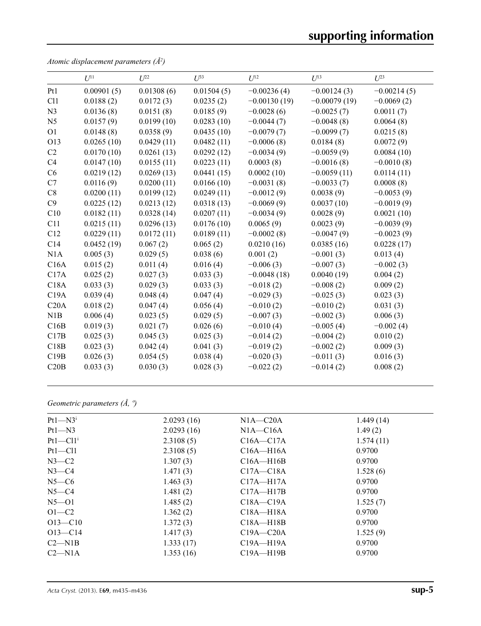# **supporting information**

|                 | $U^{11}$   | $U^{22}$   | $U^{33}$   | $U^{12}$       | $U^{13}$       | $U^{23}$      |
|-----------------|------------|------------|------------|----------------|----------------|---------------|
| Pt1             | 0.00901(5) | 0.01308(6) | 0.01504(5) | $-0.00236(4)$  | $-0.00124(3)$  | $-0.00214(5)$ |
| C <sub>11</sub> | 0.0188(2)  | 0.0172(3)  | 0.0235(2)  | $-0.00130(19)$ | $-0.00079(19)$ | $-0.0069(2)$  |
| N <sub>3</sub>  | 0.0136(8)  | 0.0151(8)  | 0.0185(9)  | $-0.0028(6)$   | $-0.0025(7)$   | 0.0011(7)     |
| N <sub>5</sub>  | 0.0157(9)  | 0.0199(10) | 0.0283(10) | $-0.0044(7)$   | $-0.0048(8)$   | 0.0064(8)     |
| O <sub>1</sub>  | 0.0148(8)  | 0.0358(9)  | 0.0435(10) | $-0.0079(7)$   | $-0.0099(7)$   | 0.0215(8)     |
| O13             | 0.0265(10) | 0.0429(11) | 0.0482(11) | $-0.0006(8)$   | 0.0184(8)      | 0.0072(9)     |
| C2              | 0.0170(10) | 0.0261(13) | 0.0292(12) | $-0.0034(9)$   | $-0.0059(9)$   | 0.0084(10)    |
| C4              | 0.0147(10) | 0.0155(11) | 0.0223(11) | 0.0003(8)      | $-0.0016(8)$   | $-0.0010(8)$  |
| C6              | 0.0219(12) | 0.0269(13) | 0.0441(15) | 0.0002(10)     | $-0.0059(11)$  | 0.0114(11)    |
| C7              | 0.0116(9)  | 0.0200(11) | 0.0166(10) | $-0.0031(8)$   | $-0.0033(7)$   | 0.0008(8)     |
| C8              | 0.0200(11) | 0.0199(12) | 0.0249(11) | $-0.0012(9)$   | 0.0038(9)      | $-0.0053(9)$  |
| C9              | 0.0225(12) | 0.0213(12) | 0.0318(13) | $-0.0069(9)$   | 0.0037(10)     | $-0.0019(9)$  |
| C10             | 0.0182(11) | 0.0328(14) | 0.0207(11) | $-0.0034(9)$   | 0.0028(9)      | 0.0021(10)    |
| C11             | 0.0215(11) | 0.0296(13) | 0.0176(10) | 0.0065(9)      | 0.0023(9)      | $-0.0039(9)$  |
| C12             | 0.0229(11) | 0.0172(11) | 0.0189(11) | $-0.0002(8)$   | $-0.0047(9)$   | $-0.0023(9)$  |
| C14             | 0.0452(19) | 0.067(2)   | 0.065(2)   | 0.0210(16)     | 0.0385(16)     | 0.0228(17)    |
| N1A             | 0.005(3)   | 0.029(5)   | 0.038(6)   | 0.001(2)       | $-0.001(3)$    | 0.013(4)      |
| C16A            | 0.015(2)   | 0.011(4)   | 0.016(4)   | $-0.006(3)$    | $-0.007(3)$    | $-0.002(3)$   |
| C17A            | 0.025(2)   | 0.027(3)   | 0.033(3)   | $-0.0048(18)$  | 0.0040(19)     | 0.004(2)      |
| C18A            | 0.033(3)   | 0.029(3)   | 0.033(3)   | $-0.018(2)$    | $-0.008(2)$    | 0.009(2)      |
| C19A            | 0.039(4)   | 0.048(4)   | 0.047(4)   | $-0.029(3)$    | $-0.025(3)$    | 0.023(3)      |
| C20A            | 0.018(2)   | 0.047(4)   | 0.056(4)   | $-0.010(2)$    | $-0.010(2)$    | 0.031(3)      |
| N1B             | 0.006(4)   | 0.023(5)   | 0.029(5)   | $-0.007(3)$    | $-0.002(3)$    | 0.006(3)      |
| C16B            | 0.019(3)   | 0.021(7)   | 0.026(6)   | $-0.010(4)$    | $-0.005(4)$    | $-0.002(4)$   |
| C17B            | 0.025(3)   | 0.045(3)   | 0.025(3)   | $-0.014(2)$    | $-0.004(2)$    | 0.010(2)      |
| C18B            | 0.023(3)   | 0.042(4)   | 0.041(3)   | $-0.019(2)$    | $-0.002(2)$    | 0.009(3)      |
| C19B            | 0.026(3)   | 0.054(5)   | 0.038(4)   | $-0.020(3)$    | $-0.011(3)$    | 0.016(3)      |
| C20B            | 0.033(3)   | 0.030(3)   | 0.028(3)   | $-0.022(2)$    | $-0.014(2)$    | 0.008(2)      |
|                 |            |            |            |                |                |               |

*Atomic displacement parameters (Å2 )*

*Geometric parameters (Å, º)*

| $Pt1 - N3$ <sup>i</sup> | 2.0293(16) | $N1A - C20A$  | 1.449(14) |
|-------------------------|------------|---------------|-----------|
| $Pt1 - N3$              | 2.0293(16) | $NIA-C16A$    | 1.49(2)   |
| $Pt1-C11$ <sup>i</sup>  | 2.3108(5)  | $C16A - C17A$ | 1.574(11) |
| $Pt1$ — $Cl1$           | 2.3108(5)  | $C16A - H16A$ | 0.9700    |
| $N3-C2$                 | 1.307(3)   | $C16A - H16B$ | 0.9700    |
| $N3-C4$                 | 1.471(3)   | $C17A - C18A$ | 1.528(6)  |
| $N5-C6$                 | 1.463(3)   | $C17A - H17A$ | 0.9700    |
| $N5-C4$                 | 1.481(2)   | $C17A - H17B$ | 0.9700    |
| $N5 - 01$               | 1.485(2)   | $C18A - C19A$ | 1.525(7)  |
| $O1 - C2$               | 1.362(2)   | $C18A - H18A$ | 0.9700    |
| $O13 - C10$             | 1.372(3)   | $C18A - H18B$ | 0.9700    |
| $O13 - C14$             | 1.417(3)   | $C19A - C20A$ | 1.525(9)  |
| $C2-M1B$                | 1.333(17)  | $C19A - H19A$ | 0.9700    |
| $C2-M1A$                | 1.353(16)  | $C19A - H19B$ | 0.9700    |
|                         |            |               |           |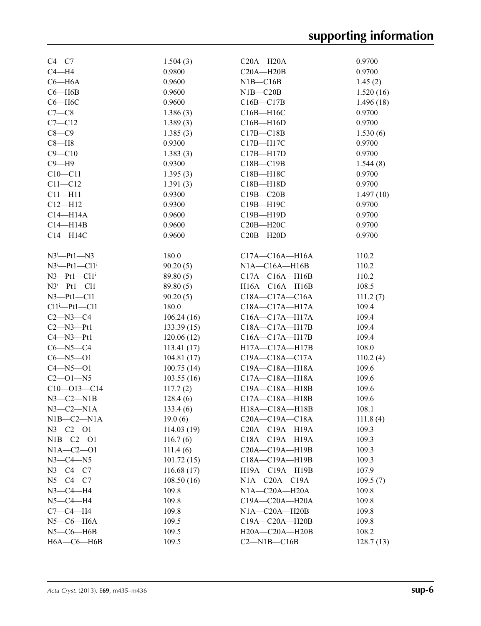| $C4-C7$                          | 1.504(3)             | $C20A - H20A$         | 0.9700            |
|----------------------------------|----------------------|-----------------------|-------------------|
| $C4 - H4$                        | 0.9800               | $C20A - H20B$         | 0.9700            |
| $C6 - H6A$                       | 0.9600               | $NIB - C16B$          | 1.45(2)           |
| $C6 - H6B$                       | 0.9600               | $NIB-C20B$            | 1.520(16)         |
| $C6 - H6C$                       | 0.9600               | $C16B - C17B$         | 1.496(18)         |
| $C7-C8$                          | 1.386(3)             | $C16B - H16C$         | 0.9700            |
| $C7 - C12$                       | 1.389(3)             | $C16B - H16D$         | 0.9700            |
| $C8-C9$                          | 1.385(3)             | $C17B - C18B$         | 1.530(6)          |
| $C8 - H8$                        | 0.9300               | $C17B - H17C$         | 0.9700            |
| $C9 - C10$                       | 1.383(3)             | $C17B - H17D$         | 0.9700            |
| $C9 - H9$                        | 0.9300               | $C18B - C19B$         | 1.544(8)          |
| $C10 - C11$                      | 1.395(3)             | C18B-H18C             | 0.9700            |
| $C11 - C12$                      | 1.391(3)             | $C18B - H18D$         | 0.9700            |
| $C11 - H11$                      | 0.9300               | $C19B - C20B$         | 1.497(10)         |
| $C12 - H12$                      | 0.9300               | C19B-H19C             | 0.9700            |
| $C14 - H14A$                     | 0.9600               | C19B-H19D             | 0.9700            |
| $C14 - H14B$                     | 0.9600               | $C20B - H20C$         | 0.9700            |
| C14-H14C                         | 0.9600               | $C20B - H20D$         | 0.9700            |
|                                  |                      |                       |                   |
| $N3^i$ -Pt1- $N3$                | 180.0                | $C17A - C16A - H16A$  | 110.2             |
| $N3^i$ -Pt1-Cl1 <sup>i</sup>     | 90.20(5)             | $NIA$ $-CI6A$ $-H16B$ | 110.2             |
| $N3$ -Pt1-Cl1 <sup>i</sup>       | 89.80(5)             | $C17A - C16A - H16B$  | 110.2             |
| $N3^i$ -Pt1-Cl1                  | 89.80 (5)            | H16A-C16A-H16B        | 108.5             |
| $N3$ -Pt1-Cl1                    | 90.20(5)             | $C18A - C17A - C16A$  | 111.2(7)          |
| $Cl1^i$ -Pt1-Cl1                 | 180.0                | C18A-C17A-H17A        | 109.4             |
| $C2 - N3 - C4$                   | 106.24(16)           | C16A-C17A-H17A        | 109.4             |
| $C2 - N3 - Pt1$                  | 133.39(15)           | C18A-C17A-H17B        | 109.4             |
| $C4 - N3 - Pt1$                  | 120.06(12)           | C16A-C17A-H17B        | 109.4             |
| $C6 - N5 - C4$                   | 113.41(17)           | H17A-C17A-H17B        | 108.0             |
| $C6 - N5 - O1$                   | 104.81(17)           | C19A-C18A-C17A        | 110.2(4)          |
| $C4 - N5 - O1$                   | 100.75(14)           | C19A-C18A-H18A        | 109.6             |
| $C2 - 01 - N5$                   | 103.55(16)           | C17A-C18A-H18A        | 109.6             |
| $C10 - 013 - C14$                | 117.7(2)             | C19A-C18A-H18B        | 109.6             |
| $N3-C2-N1B$                      | 128.4(6)             | C17A-C18A-H18B        | 109.6             |
| $N3-C2-N1A$                      | 133.4(6)             | H18A-C18A-H18B        | 108.1             |
| $NIB-C2-N1A$                     | 19.0(6)              | $C20A - C19A - C18A$  |                   |
| $N3 - C2 - 01$                   | 114.03(19)           | C20A-C19A-H19A        | 111.8(4)<br>109.3 |
|                                  |                      | C18A-C19A-H19A        |                   |
| $N1B - C2 - 01$<br>$NIA-C2-01$   | 116.7(6)<br>111.4(6) | C20A-C19A-H19B        | 109.3<br>109.3    |
| $N3-C4-N5$                       | 101.72(15)           | C18A-C19A-H19B        | 109.3             |
|                                  |                      |                       |                   |
| $N3 - C4 - C7$<br>$N5 - C4 - C7$ | 116.68(17)           | H19A-C19A-H19B        | 107.9             |
|                                  | 108.50(16)           | $N1A - C20A - C19A$   | 109.5(7)          |
| $N3$ –C4–H4                      | 109.8                | $N1A - C20A - H20A$   | 109.8             |
| $N5 - C4 - H4$                   | 109.8                | C19A-C20A-H20A        | 109.8             |
| $C7-C4-H4$                       | 109.8                | $N1A - C20A - H20B$   | 109.8             |
| $N5$ — $C6$ — $H6A$              | 109.5                | C19A-C20A-H20B        | 109.8             |
| $N5$ — $C6$ — $H6B$              | 109.5                | H20A-C20A-H20B        | 108.2             |
| $H6A - C6 - H6B$                 | 109.5                | $C2-M1B-C16B$         | 128.7(13)         |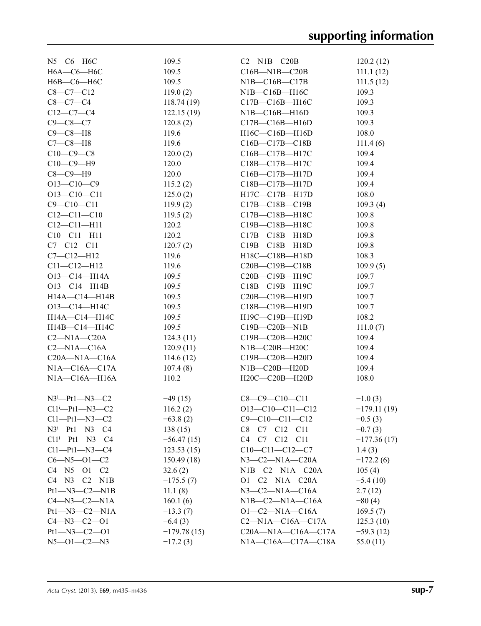| $N5$ — $C6$ — $H6C$           | 109.5         | $C2 - N1B - C20B$                           | 120.2(12)      |
|-------------------------------|---------------|---------------------------------------------|----------------|
| Н6А-С6-Н6С                    | 109.5         | $C16B - N1B - C20B$                         | 111.1(12)      |
| Н6В-С6-Н6С                    | 109.5         | $NIB-C16B-C17B$                             | 111.5(12)      |
| $C8-C7-C12$                   | 119.0(2)      | NIB—C16B—H16C                               | 109.3          |
| $C8 - C7 - C4$                | 118.74(19)    | C17B-C16B-H16C                              | 109.3          |
| $C12-C7-C4$                   | 122.15(19)    | NIB—C16B—H16D                               | 109.3          |
| $C9 - C8 - C7$                | 120.8(2)      | $C17B - C16B - H16D$                        | 109.3          |
| $C9 - C8 - H8$                | 119.6         | H16C-C16B-H16D                              | 108.0          |
| $C7-C8-H8$                    | 119.6         | $C16B - C17B - C18B$                        | 111.4(6)       |
| $C10-C9-C8$                   | 120.0(2)      | C16B-C17B-H17C                              | 109.4          |
| $C10-C9-H9$                   | 120.0         | C18B-C17B-H17C                              | 109.4          |
| $C8-C9-H9$                    | 120.0         | $C16B - C17B - H17D$                        | 109.4          |
| $O13-C10-C9$                  | 115.2(2)      | C18B-C17B-H17D                              | 109.4          |
| $O13 - C10 - C11$             | 125.0(2)      | $H17C-C17B-H17D$                            | 108.0          |
| $C9 - C10 - C11$              | 119.9(2)      | $C17B - C18B - C19B$                        | 109.3(4)       |
| $C12 - C11 - C10$             | 119.5(2)      | C17B-C18B-H18C                              | 109.8          |
| $C12 - C11 - H11$             | 120.2         | C19B-C18B-H18C                              | 109.8          |
| $C10 - C11 - H11$             | 120.2         | C17B-C18B-H18D                              | 109.8          |
| $C7 - C12 - C11$              | 120.7(2)      | C19B-C18B-H18D                              | 109.8          |
| $C7 - C12 - H12$              | 119.6         | H18C-C18B-H18D                              | 108.3          |
| $C11 - C12 - H12$             | 119.6         | $C20B - C19B - C18B$                        | 109.9(5)       |
| $O13 - C14 - H14A$            | 109.5         | C20B-C19B-H19C                              | 109.7          |
| $O13 - C14 - H14B$            | 109.5         | C18B-C19B-H19C                              | 109.7          |
| $H14A - C14 - H14B$           | 109.5         | C20B-C19B-H19D                              | 109.7          |
| O13-C14-H14C                  | 109.5         | C18B-C19B-H19D                              | 109.7          |
| H14A-C14-H14C                 | 109.5         | H19C-C19B-H19D                              | 108.2          |
| $H14B - C14 - H14C$           | 109.5         | $C19B - C20B - N1B$                         | 111.0(7)       |
| $C2-M1A-C20A$                 | 124.3(11)     | C19B-C20B-H20C                              | 109.4          |
|                               |               |                                             |                |
| $C2-M1A-C16A$                 | 120.9(11)     | $NIB-C20B-H20C$                             | 109.4          |
| $C20A - N1A - C16A$           | 114.6(12)     | $C19B - C20B - H20D$<br>$N1B - C20B - H20D$ | 109.4<br>109.4 |
| $NIA$ — $C16A$ — $C17A$       | 107.4(8)      | H20C-C20B-H20D                              |                |
| $NIA$ $-CI6A$ $-H16A$         | 110.2         |                                             | 108.0          |
| $N3^i$ -Pt1- $N3$ -C2         | $-49(15)$     | $C8-C9-C10-C11$                             | $-1.0(3)$      |
| $Cl1^i$ -Pt1-N3-C2            | 116.2(2)      | $O13-C10-C11-C12$                           | $-179.11(19)$  |
| $Cl1$ — $Pt1$ — $N3$ — $C2$   | $-63.8(2)$    | $C9 - C10 - C11 - C12$                      | $-0.5(3)$      |
| $N3^i$ -Pt1- $N3$ -C4         | 138(15)       | $C8-C7-C12-C11$                             | $-0.7(3)$      |
| $Cl1^i$ — $Pt1$ — $N3$ — $C4$ | $-56.47(15)$  | $C4-C7-C12-C11$                             | $-177.36(17)$  |
| $Cl1-Pt1-N3-C4$               | 123.53(15)    | $C10-C11-C12-C7$                            | 1.4(3)         |
| $C6 - N5 - O1 - C2$           | 150.49(18)    | $N3-C2-N1A-C20A$                            | $-172.2(6)$    |
| $C4 - N5 - O1 - C2$           | 32.6(2)       | $N1B-C2-N1A-C20A$                           | 105(4)         |
| $C4$ —N3— $C2$ —N1B           | $-175.5(7)$   | $O1 - C2 - N1A - C20A$                      | $-5.4(10)$     |
| $Pt1 - N3 - C2 - N1B$         | 11.1(8)       | $N3-C2-N1A-C16A$                            | 2.7(12)        |
| $C4 - N3 - C2 - N1A$          | 160.1(6)      | $NIB-C2-M1A-C16A$                           | $-80(4)$       |
| $Pt1 - N3 - C2 - N1A$         | $-13.3(7)$    | $O1-C2-N1A-C16A$                            | 169.5(7)       |
| $C4 - N3 - C2 - 01$           | $-6.4(3)$     | $C2-M1A-C16A-C17A$                          | 125.3(10)      |
| $Pt1 - N3 - C2 - O1$          | $-179.78(15)$ | $C20A - N1A - C16A - C17A$                  | $-59.3(12)$    |
| $N5 - 01 - C2 - N3$           |               | N1A-C16A-C17A-C18A                          |                |
|                               | $-17.2(3)$    |                                             | 55.0(11)       |